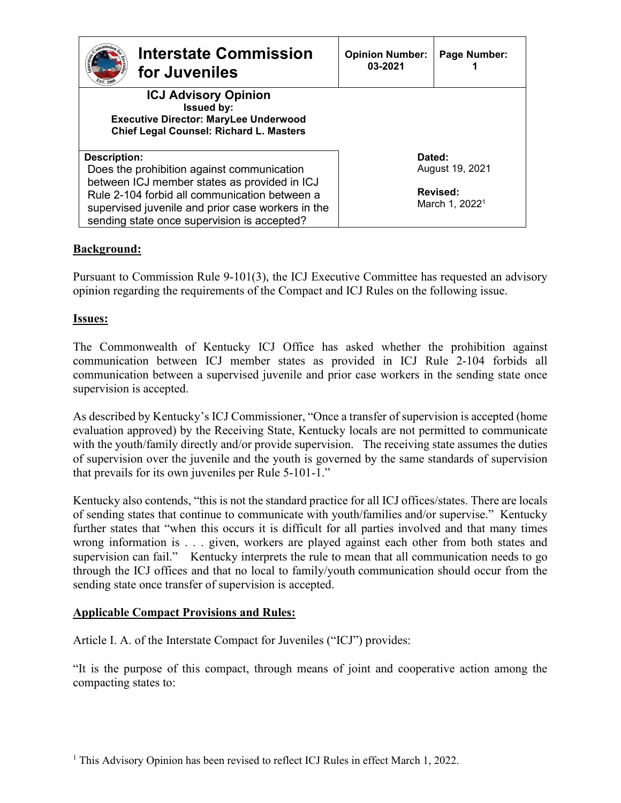| <b>Interstate Commission</b><br>for Juveniles                                                                                                      | <b>Opinion Number:</b><br>03-2021 | Page Number:                           |  |
|----------------------------------------------------------------------------------------------------------------------------------------------------|-----------------------------------|----------------------------------------|--|
| <b>ICJ Advisory Opinion</b><br><b>Issued by:</b><br><b>Executive Director: MaryLee Underwood</b><br><b>Chief Legal Counsel: Richard L. Masters</b> |                                   |                                        |  |
| <b>Description:</b>                                                                                                                                | Dated:                            |                                        |  |
| Does the prohibition against communication<br>between ICJ member states as provided in ICJ                                                         |                                   | August 19, 2021                        |  |
| Rule 2-104 forbid all communication between a<br>supervised juvenile and prior case workers in the<br>sending state once supervision is accepted?  |                                   | Revised:<br>March 1, 2022 <sup>1</sup> |  |

# **Background:**

Pursuant to Commission Rule 9-101(3), the ICJ Executive Committee has requested an advisory opinion regarding the requirements of the Compact and ICJ Rules on the following issue.

## **Issues:**

The Commonwealth of Kentucky ICJ Office has asked whether the prohibition against communication between ICJ member states as provided in ICJ Rule 2-104 forbids all communication between a supervised juvenile and prior case workers in the sending state once supervision is accepted.

As described by Kentucky's ICJ Commissioner, "Once a transfer of supervision is accepted (home evaluation approved) by the Receiving State, Kentucky locals are not permitted to communicate with the youth/family directly and/or provide supervision. The receiving state assumes the duties of supervision over the juvenile and the youth is governed by the same standards of supervision that prevails for its own juveniles per Rule 5-101-1."

Kentucky also contends, "this is not the standard practice for all ICJ offices/states. There are locals of sending states that continue to communicate with youth/families and/or supervise." Kentucky further states that "when this occurs it is difficult for all parties involved and that many times wrong information is . . . given, workers are played against each other from both states and supervision can fail." Kentucky interprets the rule to mean that all communication needs to go through the ICJ offices and that no local to family/youth communication should occur from the sending state once transfer of supervision is accepted.

## **Applicable Compact Provisions and Rules:**

Article I. A. of the Interstate Compact for Juveniles ("ICJ") provides:

"It is the purpose of this compact, through means of joint and cooperative action among the compacting states to: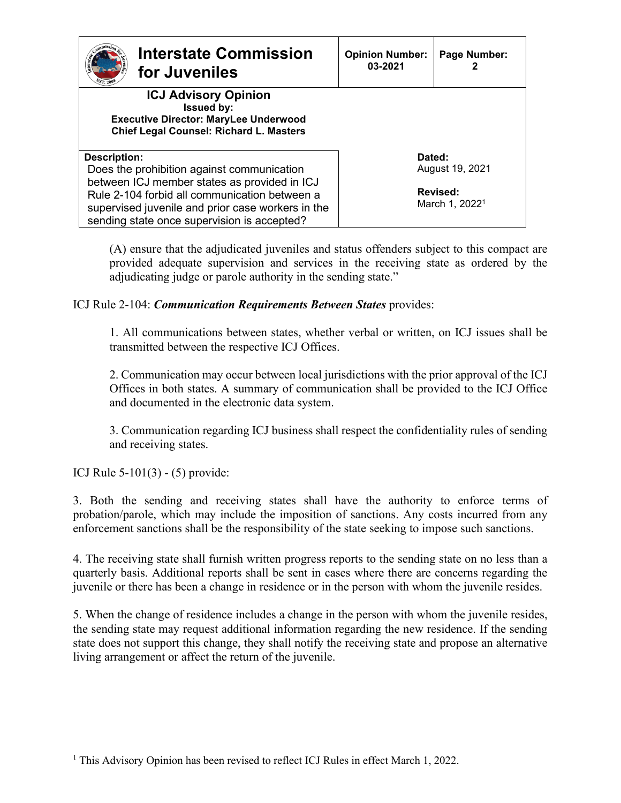| <b>Interstate Commission</b><br>for Juveniles                                                                                                                        | <b>Opinion Number:</b><br>03-2021 | Page Number:               |  |
|----------------------------------------------------------------------------------------------------------------------------------------------------------------------|-----------------------------------|----------------------------|--|
| <b>ICJ Advisory Opinion</b><br><b>Issued by:</b><br><b>Executive Director: MaryLee Underwood</b><br><b>Chief Legal Counsel: Richard L. Masters</b>                   |                                   |                            |  |
| <b>Description:</b>                                                                                                                                                  | Dated:                            |                            |  |
| Does the prohibition against communication<br>between ICJ member states as provided in ICJ                                                                           |                                   | August 19, 2021            |  |
| <b>Revised:</b><br>Rule 2-104 forbid all communication between a<br>supervised juvenile and prior case workers in the<br>sending state once supervision is accepted? |                                   | March 1, 2022 <sup>1</sup> |  |

(A) ensure that the adjudicated juveniles and status offenders subject to this compact are provided adequate supervision and services in the receiving state as ordered by the adjudicating judge or parole authority in the sending state."

ICJ Rule 2-104: *Communication Requirements Between States* provides:

1. All communications between states, whether verbal or written, on ICJ issues shall be transmitted between the respective ICJ Offices.

2. Communication may occur between local jurisdictions with the prior approval of the ICJ Offices in both states. A summary of communication shall be provided to the ICJ Office and documented in the electronic data system.

3. Communication regarding ICJ business shall respect the confidentiality rules of sending and receiving states.

ICJ Rule 5-101(3) - (5) provide:

3. Both the sending and receiving states shall have the authority to enforce terms of probation/parole, which may include the imposition of sanctions. Any costs incurred from any enforcement sanctions shall be the responsibility of the state seeking to impose such sanctions.

4. The receiving state shall furnish written progress reports to the sending state on no less than a quarterly basis. Additional reports shall be sent in cases where there are concerns regarding the juvenile or there has been a change in residence or in the person with whom the juvenile resides.

5. When the change of residence includes a change in the person with whom the juvenile resides, the sending state may request additional information regarding the new residence. If the sending state does not support this change, they shall notify the receiving state and propose an alternative living arrangement or affect the return of the juvenile.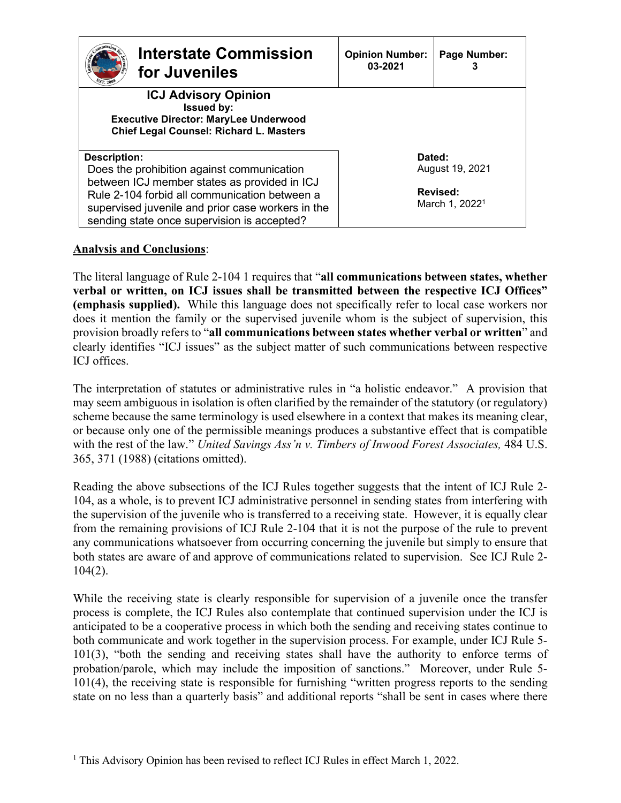| <b>Interstate Commission</b><br>for Juveniles                                                                                                                                                     | <b>Opinion Number:</b><br>03-2021      | Page Number:<br>3 |
|---------------------------------------------------------------------------------------------------------------------------------------------------------------------------------------------------|----------------------------------------|-------------------|
| <b>ICJ Advisory Opinion</b><br><b>Issued by:</b><br><b>Executive Director: MaryLee Underwood</b><br><b>Chief Legal Counsel: Richard L. Masters</b>                                                |                                        |                   |
| <b>Description:</b>                                                                                                                                                                               | Dated:                                 |                   |
| Does the prohibition against communication                                                                                                                                                        |                                        | August 19, 2021   |
| between ICJ member states as provided in ICJ<br>Rule 2-104 forbid all communication between a<br>supervised juvenile and prior case workers in the<br>sending state once supervision is accepted? | Revised:<br>March 1, 2022 <sup>1</sup> |                   |

## **Analysis and Conclusions**:

The literal language of Rule 2-104 1 requires that "**all communications between states, whether verbal or written, on ICJ issues shall be transmitted between the respective ICJ Offices" (emphasis supplied).** While this language does not specifically refer to local case workers nor does it mention the family or the supervised juvenile whom is the subject of supervision, this provision broadly refers to "**all communications between states whether verbal or written**" and clearly identifies "ICJ issues" as the subject matter of such communications between respective ICJ offices.

The interpretation of statutes or administrative rules in "a holistic endeavor." A provision that may seem ambiguous in isolation is often clarified by the remainder of the statutory (or regulatory) scheme because the same terminology is used elsewhere in a context that makes its meaning clear, or because only one of the permissible meanings produces a substantive effect that is compatible with the rest of the law." *United Savings Ass'n v. Timbers of Inwood Forest Associates,* 484 U.S. 365, 371 (1988) (citations omitted).

Reading the above subsections of the ICJ Rules together suggests that the intent of ICJ Rule 2- 104, as a whole, is to prevent ICJ administrative personnel in sending states from interfering with the supervision of the juvenile who is transferred to a receiving state. However, it is equally clear from the remaining provisions of ICJ Rule 2-104 that it is not the purpose of the rule to prevent any communications whatsoever from occurring concerning the juvenile but simply to ensure that both states are aware of and approve of communications related to supervision. See ICJ Rule 2- 104(2).

While the receiving state is clearly responsible for supervision of a juvenile once the transfer process is complete, the ICJ Rules also contemplate that continued supervision under the ICJ is anticipated to be a cooperative process in which both the sending and receiving states continue to both communicate and work together in the supervision process. For example, under ICJ Rule 5- 101(3), "both the sending and receiving states shall have the authority to enforce terms of probation/parole, which may include the imposition of sanctions." Moreover, under Rule 5- 101(4), the receiving state is responsible for furnishing "written progress reports to the sending state on no less than a quarterly basis" and additional reports "shall be sent in cases where there

<sup>&</sup>lt;sup>1</sup> This Advisory Opinion has been revised to reflect ICJ Rules in effect March 1, 2022.